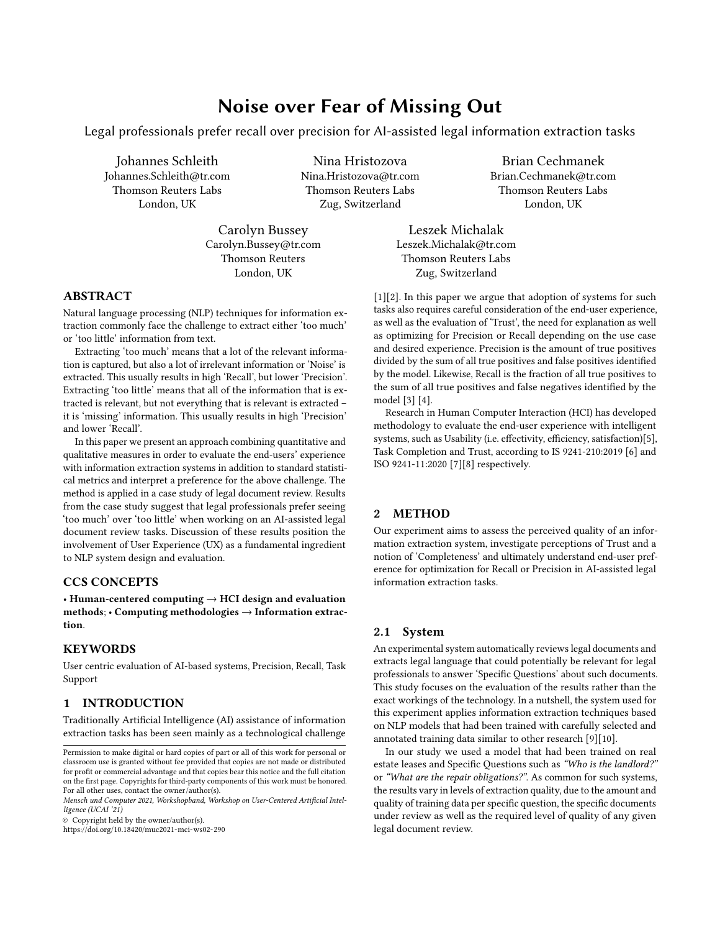# Noise over Fear of Missing Out

Legal professionals prefer recall over precision for AI-assisted legal information extraction tasks

Johannes Schleith Johannes.Schleith@tr.com Thomson Reuters Labs London, UK

Nina Hristozova Nina.Hristozova@tr.com Thomson Reuters Labs Zug, Switzerland

Carolyn Bussey Carolyn.Bussey@tr.com Thomson Reuters London, UK

### ABSTRACT

Natural language processing (NLP) techniques for information extraction commonly face the challenge to extract either 'too much' or 'too little' information from text.

Extracting 'too much' means that a lot of the relevant information is captured, but also a lot of irrelevant information or 'Noise' is extracted. This usually results in high 'Recall', but lower 'Precision'. Extracting 'too little' means that all of the information that is extracted is relevant, but not everything that is relevant is extracted – it is 'missing' information. This usually results in high 'Precision' and lower 'Recall'.

In this paper we present an approach combining quantitative and qualitative measures in order to evaluate the end-users' experience with information extraction systems in addition to standard statistical metrics and interpret a preference for the above challenge. The method is applied in a case study of legal document review. Results from the case study suggest that legal professionals prefer seeing 'too much' over 'too little' when working on an AI-assisted legal document review tasks. Discussion of these results position the involvement of User Experience (UX) as a fundamental ingredient to NLP system design and evaluation.

### CCS CONCEPTS

• Human-centered computing  $\rightarrow$  HCI design and evaluation methods; • Computing methodologies → Information extraction.

#### **KEYWORDS**

User centric evaluation of AI-based systems, Precision, Recall, Task Support

# 1 INTRODUCTION

Traditionally Artificial Intelligence (AI) assistance of information extraction tasks has been seen mainly as a technological challenge

© Copyright held by the owner/author(s).

<https://doi.org/10.18420/muc2021-mci-ws02-290>

Brian Cechmanek Brian.Cechmanek@tr.com Thomson Reuters Labs London, UK

Leszek Michalak Leszek.Michalak@tr.com Thomson Reuters Labs Zug, Switzerland

[\[1\]](#page-2-0)[\[2\]](#page-2-1). In this paper we argue that adoption of systems for such tasks also requires careful consideration of the end-user experience, as well as the evaluation of 'Trust', the need for explanation as well as optimizing for Precision or Recall depending on the use case and desired experience. Precision is the amount of true positives divided by the sum of all true positives and false positives identified by the model. Likewise, Recall is the fraction of all true positives to the sum of all true positives and false negatives identified by the model [\[3\]](#page-2-2) [\[4\]](#page-2-3).

Research in Human Computer Interaction (HCI) has developed methodology to evaluate the end-user experience with intelligent systems, such as Usability (i.e. effectivity, efficiency, satisfaction)[\[5\]](#page-2-4), Task Completion and Trust, according to IS 9241-210:2019 [\[6\]](#page-2-5) and ISO 9241-11:2020 [\[7\]](#page-2-6)[\[8\]](#page-2-7) respectively.

# 2 METHOD

Our experiment aims to assess the perceived quality of an information extraction system, investigate perceptions of Trust and a notion of 'Completeness' and ultimately understand end-user preference for optimization for Recall or Precision in AI-assisted legal information extraction tasks.

# 2.1 System

An experimental system automatically reviews legal documents and extracts legal language that could potentially be relevant for legal professionals to answer 'Specific Questions' about such documents. This study focuses on the evaluation of the results rather than the exact workings of the technology. In a nutshell, the system used for this experiment applies information extraction techniques based on NLP models that had been trained with carefully selected and annotated training data similar to other research [\[9\]](#page-2-8)[\[10\]](#page-2-9).

In our study we used a model that had been trained on real estate leases and Specific Questions such as "Who is the landlord?" or "What are the repair obligations?". As common for such systems, the results vary in levels of extraction quality, due to the amount and quality of training data per specific question, the specific documents under review as well as the required level of quality of any given legal document review.

Permission to make digital or hard copies of part or all of this work for personal or classroom use is granted without fee provided that copies are not made or distributed for profit or commercial advantage and that copies bear this notice and the full citation on the first page. Copyrights for third-party components of this work must be honored. For all other uses, contact the owner/author(s).

Mensch und Computer 2021, Workshopband, Workshop on User-Centered Artificial Intelligence (UCAI '21)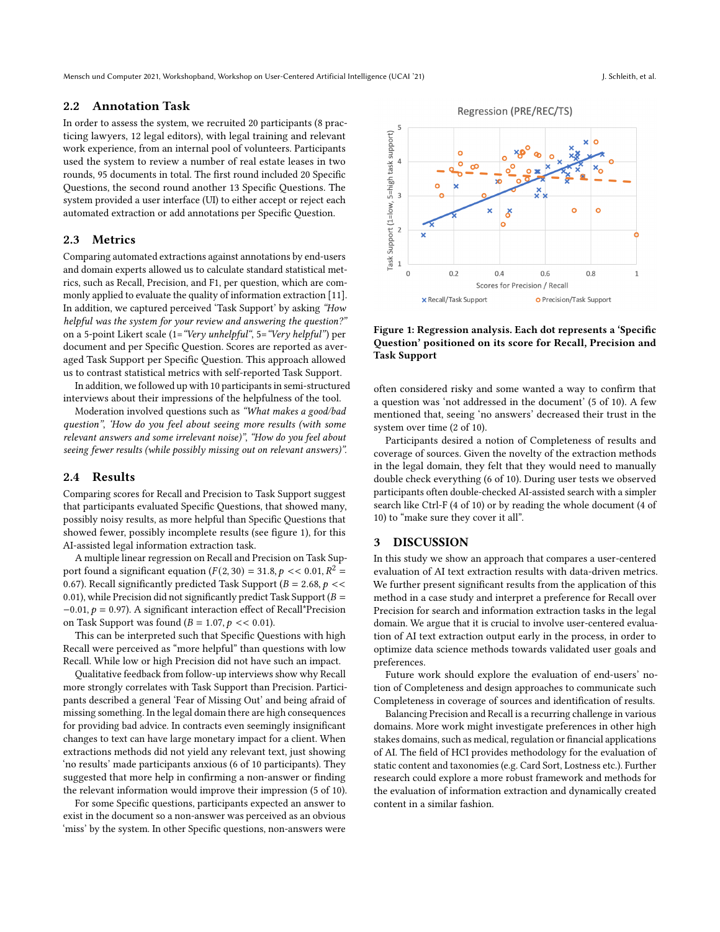Mensch und Computer 2021, Workshopband, Workshop on User-Centered Artificial Intelligence (UCAI '21) J. Schleith, et al.

#### 2.2 Annotation Task

In order to assess the system, we recruited 20 participants (8 practicing lawyers, 12 legal editors), with legal training and relevant work experience, from an internal pool of volunteers. Participants used the system to review a number of real estate leases in two rounds, 95 documents in total. The first round included 20 Specific Questions, the second round another 13 Specific Questions. The system provided a user interface (UI) to either accept or reject each automated extraction or add annotations per Specific Question.

#### 2.3 Metrics

Comparing automated extractions against annotations by end-users and domain experts allowed us to calculate standard statistical metrics, such as Recall, Precision, and F1, per question, which are commonly applied to evaluate the quality of information extraction [\[11\]](#page-2-10). In addition, we captured perceived 'Task Support' by asking "How helpful was the system for your review and answering the question?" on a 5-point Likert scale (1="Very unhelpful", 5="Very helpful") per document and per Specific Question. Scores are reported as averaged Task Support per Specific Question. This approach allowed us to contrast statistical metrics with self-reported Task Support.

In addition, we followed up with 10 participants in semi-structured interviews about their impressions of the helpfulness of the tool.

Moderation involved questions such as "What makes a good/bad question", 'How do you feel about seeing more results (with some relevant answers and some irrelevant noise)", "How do you feel about seeing fewer results (while possibly missing out on relevant answers)".

#### 2.4 Results

Comparing scores for Recall and Precision to Task Support suggest that participants evaluated Specific Questions, that showed many, possibly noisy results, as more helpful than Specific Questions that showed fewer, possibly incomplete results (see figure [1\)](#page-1-0), for this AI-assisted legal information extraction task.

A multiple linear regression on Recall and Precision on Task Support found a significant equation  $(F(2, 30) = 31.8, p \lt 0.01, R^2 =$ 0.67). Recall significantly predicted Task Support ( $B = 2.68$ ,  $p \ll$ 0.01), while Precision did not significantly predict Task Support ( $B =$  $-0.01$ ,  $p = 0.97$ ). A significant interaction effect of Recall\*Precision on Task Support was found  $(B = 1.07, p \ll 0.01)$ .

This can be interpreted such that Specific Questions with high Recall were perceived as "more helpful" than questions with low Recall. While low or high Precision did not have such an impact.

Qualitative feedback from follow-up interviews show why Recall more strongly correlates with Task Support than Precision. Participants described a general 'Fear of Missing Out' and being afraid of missing something. In the legal domain there are high consequences for providing bad advice. In contracts even seemingly insignificant changes to text can have large monetary impact for a client. When extractions methods did not yield any relevant text, just showing 'no results' made participants anxious (6 of 10 participants). They suggested that more help in confirming a non-answer or finding the relevant information would improve their impression (5 of 10).

For some Specific questions, participants expected an answer to exist in the document so a non-answer was perceived as an obvious 'miss' by the system. In other Specific questions, non-answers were often considered risky and some wanted a way to confirm that a question was 'not addressed in the document' (5 of 10). A few mentioned that, seeing 'no answers' decreased their trust in the system over time (2 of 10).

Figure 1: Regression analysis. Each dot represents a 'Specific Question' positioned on its score for Recall, Precision and

Participants desired a notion of Completeness of results and coverage of sources. Given the novelty of the extraction methods in the legal domain, they felt that they would need to manually double check everything (6 of 10). During user tests we observed participants often double-checked AI-assisted search with a simpler search like Ctrl-F (4 of 10) or by reading the whole document (4 of 10) to "make sure they cover it all".

#### 3 DISCUSSION

Task Support

In this study we show an approach that compares a user-centered evaluation of AI text extraction results with data-driven metrics. We further present significant results from the application of this method in a case study and interpret a preference for Recall over Precision for search and information extraction tasks in the legal domain. We argue that it is crucial to involve user-centered evaluation of AI text extraction output early in the process, in order to optimize data science methods towards validated user goals and preferences.

Future work should explore the evaluation of end-users' notion of Completeness and design approaches to communicate such Completeness in coverage of sources and identification of results.

Balancing Precision and Recall is a recurring challenge in various domains. More work might investigate preferences in other high stakes domains, such as medical, regulation or financial applications of AI. The field of HCI provides methodology for the evaluation of static content and taxonomies (e.g. Card Sort, Lostness etc.). Further research could explore a more robust framework and methods for the evaluation of information extraction and dynamically created content in a similar fashion.

<span id="page-1-0"></span>